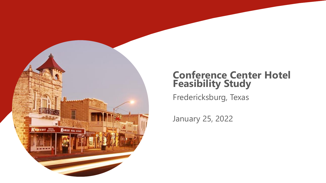

#### **Conference Center Hotel Feasibility Study**

Fredericksburg, Texas

January 25, 2022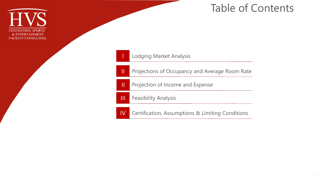

#### Table of Contents

#### Lodging Market Analysis

**II** Projections of Occupancy and Average Room Rate

**II** Projection of Income and Expense

**III** Feasibility Analysis

IV Certification, Assumptions & Limiting Conditions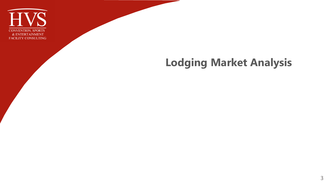

## **Lodging Market Analysis**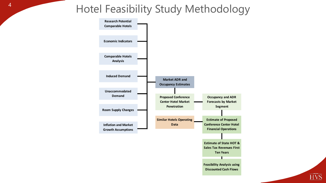#### Hotel Feasibility Study Methodology



 $\widehat{\text{HVS}}$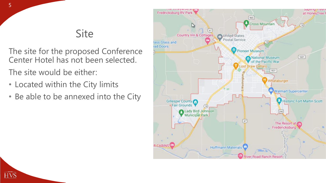#### Site

- The site for the proposed Conference Center Hotel has not been selected.
- The site would be either:
- Located within the City limits
- Be able to be annexed into the City



**HVS**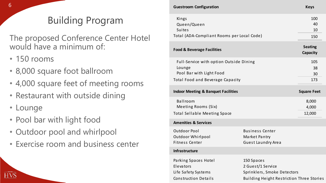#### **Building Program**

- 150 rooms
- 8,000 square foot ballroom
- 4,000 square feet of meeting rooms
- Restaurant with outside dining
- Lounge
- Pool bar with light food
- Outdoor pool and whirlpool
- 

| 6 <sup>1</sup>                                                                            | <b>Guestroom Configuration</b>                                                                                    |                                                                                                             | <b>Keys</b>                              |
|-------------------------------------------------------------------------------------------|-------------------------------------------------------------------------------------------------------------------|-------------------------------------------------------------------------------------------------------------|------------------------------------------|
| <b>Building Program</b>                                                                   | Kings<br>Queen/Queen<br><b>Suites</b>                                                                             |                                                                                                             | 100<br>40<br>10                          |
| The proposed Conference Center Hotel<br>would have a minimum of:                          | Total (ADA-Compliant Rooms per Local Code)<br><b>Food &amp; Beverage Facilities</b>                               |                                                                                                             | 150<br><b>Seating</b><br><b>Capacity</b> |
| $\cdot$ 150 rooms<br>• 8,000 square foot ballroom<br>• 4,000 square feet of meeting rooms | Full-Service with option Outside Dining<br>Lounge<br>Pool Bar with Light Food<br>Total Food and Beverage Capacity |                                                                                                             | 105<br>38<br>30<br>173                   |
| • Restaurant with outside dining                                                          | <b>Indoor Meeting &amp; Banquet Facilities</b>                                                                    | <b>Square Feet</b>                                                                                          |                                          |
| • Lounge                                                                                  | Ballroom<br>Meeting Rooms (Six)<br><b>Total Sellable Meeting Space</b>                                            |                                                                                                             | 8,000<br>4,000<br>12,000                 |
| • Pool bar with light food                                                                | <b>Amenities &amp; Services</b>                                                                                   |                                                                                                             |                                          |
| • Outdoor pool and whirlpool<br>• Exercise room and business center                       | <b>Outdoor Pool</b><br>Outdoor Whirlpool<br><b>Fitness Center</b>                                                 | <b>Business Center</b><br>Market Pantry<br>Guest Laundry Area                                               |                                          |
|                                                                                           | Infrastructure                                                                                                    |                                                                                                             |                                          |
|                                                                                           | Parking Spaces Hotel<br>Elevators<br>Life Safety Systems<br><b>Construction Details</b>                           | 150 Spaces<br>2 Guest/1 Service<br>Sprinklers, Smoke Detectors<br>Building Height Restriction Three Stories |                                          |
|                                                                                           |                                                                                                                   |                                                                                                             |                                          |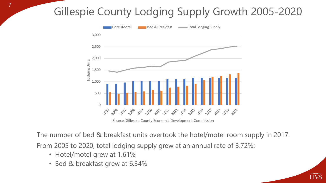# Gillespie County Lodging Supply Growth 2005-2020



Source: Gillespie County Economic Development Commission

The number of bed & breakfast units overtook the hotel/motel room supply in 2017.

HVŠ

From 2005 to 2020, total lodging supply grew at an annual rate of 3.72%:

- Hotel/motel grew at 1.61%
- Bed & breakfast grew at 6.34%

7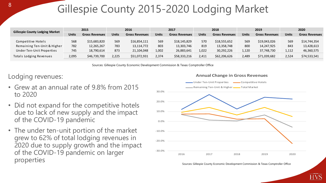## Gillespie County 2015-2020 Lodging Market

|                                                                                | 2015                                                                                                                                                                                                                                                                  |                                          | 2016              |                                          | 2017                |                                          | 2018                |                                             | 2019                |                                          | 2020                |                                          |
|--------------------------------------------------------------------------------|-----------------------------------------------------------------------------------------------------------------------------------------------------------------------------------------------------------------------------------------------------------------------|------------------------------------------|-------------------|------------------------------------------|---------------------|------------------------------------------|---------------------|---------------------------------------------|---------------------|------------------------------------------|---------------------|------------------------------------------|
| <b>Gillespie County Lodging Market</b>                                         | <b>Units</b>                                                                                                                                                                                                                                                          | <b>Gross Revenues</b>                    | <b>Units</b>      | <b>Gross Revenues</b>                    | <b>Units</b>        | <b>Gross Revenues</b>                    | <b>Units</b>        | <b>Gross Revenues</b>                       | <b>Units</b>        | <b>Gross Revenues</b>                    | <b>Units</b>        | <b>Gross Revenues</b>                    |
| Competitive Hotels<br>Remaining Ten-Unit & Higher<br>Under Ten-Unit Properties | 568<br>782<br>745                                                                                                                                                                                                                                                     | \$15,683,820<br>12,265,267<br>18,790,614 | 569<br>783<br>873 | \$16,854,111<br>13,114,772<br>21,104,048 | 569<br>803<br>1,002 | \$18,145,829<br>13,303,746<br>26,883,641 | 570<br>819<br>1,022 | \$18,555,652<br>13,358,748<br>30,292,226    | 569<br>800<br>1,120 | \$19,043,026<br>14,247,925<br>37,748,730 | 569<br>843<br>1,112 | \$14,744,354<br>13,428,613<br>46,360,575 |
|                                                                                |                                                                                                                                                                                                                                                                       |                                          |                   |                                          |                     |                                          |                     |                                             |                     |                                          |                     |                                          |
|                                                                                | \$51,072,931<br>\$74,533,541<br>\$46,739,700<br>\$58,333,216<br>\$62,206,626<br>\$71,039,682<br>2,095<br>2,225<br>2,374<br>2,411<br>2,489<br>2,524<br>Totals Lodging Revenues<br>Sources: Gillespie County Economic Development Commission & Texas Comptroller Office |                                          |                   |                                          |                     |                                          |                     |                                             |                     |                                          |                     |                                          |
| odging revenues:                                                               |                                                                                                                                                                                                                                                                       |                                          |                   |                                          |                     |                                          |                     | <b>Annual Change in Gross Revenues</b>      |                     |                                          |                     |                                          |
|                                                                                |                                                                                                                                                                                                                                                                       |                                          |                   |                                          |                     |                                          |                     | Under Ten-Unit Properties                   |                     | Competitive Hotels                       |                     |                                          |
| Grew at an annual rate of 9.8% from 2015                                       |                                                                                                                                                                                                                                                                       |                                          |                   |                                          |                     |                                          |                     | -Remaining Ten-Unit & Higher - Total Market |                     |                                          |                     |                                          |

Lodging revenues:

- Grew at an annual rate of 9.8% from 2015 to 2020
- Did not expand for the competitive hotels due to lack of new supply and the impact of the COVID-19 pandemic
- The under ten-unit portion of the market grew to 62% of total lodging revenues in 2020 due to supply growth and the impact of the COVID-19 pandemic on larger properties



Sources: Gillespie County Economic Development Commission & Texas Comptroller Office

#### **Annual Change in Gross Revenues**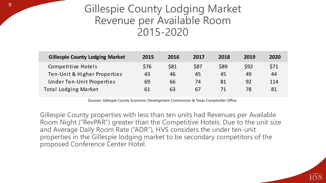#### **Gillespie County Lodging Market** Revenue per Available Room 2015-2020

| <b>Gillespie County Lodging Market</b> | 2015 | 2016 | 2017 | 2018        | 2019       | 2020 |
|----------------------------------------|------|------|------|-------------|------------|------|
| Competitive Hotels                     | \$76 | \$81 | \$87 | <b>\$89</b> | <b>S92</b> | \$71 |
| Ten-Unit & Higher Properties           | 43   | 46   | 45   | 45          | 49         | 44   |
| Under Ten-Unit Properties              | 69   | 66   | 74   | 81          | 92         | 114  |
| <b>Total Lodging Market</b>            | 61   | 63   | 67   | 71          | 78         | 81   |

Sources: Gillespie County Economic Development Commission & Texas Comptroller Office

Gillespie County properties with less than ten units had Revenues per Available Room Night ("RevPAR") greater than the Competitive Hotels. Due to the unit size and Average Daily Room Rate ("ADR"), HVS considers the under ten-unit properties in the Gillespie lodging market to be secondary competitors of the proposed Conference Center Hotel.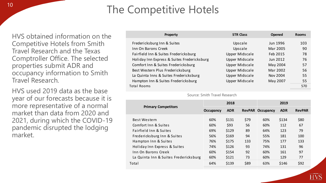#### The Competitive Hotels

HVS obtained information on the Competitive Hotels from Smith Travel Research and the Texas Comptroller Office. The selected properties submit ADR and occupancy information to Smith Travel Research.

HVS used 2019 data as the base year of our forecasts because it is more representative of a normal market than data from 2020 and 2021, during which the COVID-19 pandemic disrupted the lodging market.

| Property                                    | <b>STR Class</b> | Opened   | <b>Rooms</b> |
|---------------------------------------------|------------------|----------|--------------|
| Fredericksburg Inn & Suites                 | Upscale          | Jun 1996 | 103          |
| Inn On Barons Creek                         | Upscale          | Mar 2005 | 90           |
| Fairfield Inn & Suites Fredericksburg       | Upper Midscale   | Feb 2015 | 78           |
| Holiday Inn Express & Suites Fredericksburg | Upper Midscale   | Jun 2012 | 76           |
| Comfort Inn & Suites Fredericksburg         | Upper Midscale   | May 2004 | 57           |
| Best Western Plus Fredericksburg            | Upper Midscale   | Mar 2002 | 56           |
| La Quinta Inns & Suites Fredericksburg      | Upper Midscale   | Nov 2004 | 55           |
| Hampton Inn & Suites Fredericksburg         | Upper Midscale   | May 2007 | 55           |
| Total Rooms                                 |                  |          | 570          |

#### Source: Smith Travel Research

|                                       |           | 2018       |               | 2019             |            |               |  |
|---------------------------------------|-----------|------------|---------------|------------------|------------|---------------|--|
| <b>Primary Competitors</b>            | Occupancy | <b>ADR</b> | <b>RevPAR</b> | <b>Occupancy</b> | <b>ADR</b> | <b>RevPAR</b> |  |
| Best Western                          | 60%       | \$131      | \$79          | 60%              | \$134      | \$80          |  |
| Comfort Inn & Suites                  | 60%       | \$93       | 56            | 60%              | 112        | 67            |  |
| Fairfield Inn & Suites                | 69%       | \$129      | 89            | 64%              | 123        | 79            |  |
| Fredericksburg Inn & Suites           | 56%       | \$169      | 94            | 55%              | 181        | 100           |  |
| Hampton Inn & Suites                  | 76%       | \$175      | 133           | 75%              | 177        | 133           |  |
| Holiday Inn Express & Suites          | 74%       | \$126      | 93            | 74%              | 131        | 96            |  |
| Inn On Barons Creek                   | 60%       | \$154      | 92            | 60%              | 161        | 97            |  |
| La Quinta Inn & Suites Fredericksburg | 60%       | \$121      | 73            | 60%              | 129        | 77            |  |
| Total                                 | 64%       | \$139      | \$89          | 63%              | \$146      | \$92          |  |
|                                       |           |            |               |                  |            |               |  |

HVS

#### 10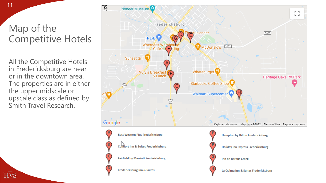#### Map of the Competitive Hotels

11

All the Competitive Hotels in Fredericksburg are near or in the downtown area. The properties are in either the upper midscale or upscale class as defined by Smith Travel Research.

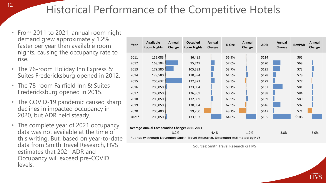Historical Performance of the Competitive Hotels

- From 2011 to 2021, annual room night demand grew approximately 1.2% faster per year than available room nights, causing the occupancy rate to rise.
- The 76-room Holiday Inn Express & Suites Fredericksburg opened in 2012.
- The 78-room Fairfield Inn & Suites Fredericksburg opened in 2015.
- The COVID-19 pandemic caused sharp declines in impacted occupancy in 2020, but ADR held steady.
- The complete year of 2021 occupancy data was not available at the time of this writing. But, based on year-to-date data from Smith Travel Research, HVS estimates that 2021 ADR and Occupancy will exceed pre-COVID levels.

| Year                                        | <b>Available</b><br><b>Room Nights</b>                                      | Annual<br>Change | <b>Occupied</b><br><b>Room Nights</b> | Annual<br>Change | % Occ | Annual<br>Change | <b>ADR</b> | Annual<br>Change | <b>RevPAR</b> | Annual<br>Change |
|---------------------------------------------|-----------------------------------------------------------------------------|------------------|---------------------------------------|------------------|-------|------------------|------------|------------------|---------------|------------------|
| 2011                                        | 152,083                                                                     |                  | 86,485                                |                  | 56.9% |                  | \$114      |                  | \$65          |                  |
| 2012                                        | 168,104                                                                     |                  | 95,749                                |                  | 57.0% |                  | \$120      |                  | \$68          |                  |
| 2013                                        | 179,580                                                                     |                  | 105,382                               |                  | 58.7% |                  | \$125      |                  | \$73          |                  |
| 2014                                        | 179,580                                                                     |                  | 110,394                               |                  | 61.5% |                  | \$128      |                  | \$78          |                  |
| 2015                                        | 205,632                                                                     |                  | 122,372                               |                  | 59.5% |                  | \$129      |                  | \$77          |                  |
| 2016                                        | 208,050                                                                     |                  | 123,004                               |                  | 59.1% |                  | \$137      |                  | \$81          |                  |
| 2017                                        | 208,050                                                                     |                  | 126,309                               |                  | 60.7% |                  | \$138      |                  | \$84          |                  |
| 2018                                        | 208,050                                                                     |                  | 132,889                               |                  | 63.9% |                  | \$139      |                  | \$89          |                  |
| 2019                                        | 208,050                                                                     |                  | 130,904                               |                  | 62.9% |                  | \$146      |                  | \$92          |                  |
| 2020                                        | 206,400                                                                     |                  | 99,260                                |                  | 48.1% |                  | \$147      |                  | \$71          |                  |
| 2021*                                       | 208,050                                                                     |                  | 133,152                               |                  | 64.0% |                  | \$165      |                  | \$106         |                  |
| Average Annual Compounded Change: 2011-2021 |                                                                             |                  |                                       |                  |       |                  |            |                  |               |                  |
|                                             | * January through November Smith Travel Research, December estimated by HVS | 3.2%             |                                       | 4.4%             |       | 1.2%             |            | 3.8%             |               | 5.0%             |

Sources: Smith Travel Research & HVS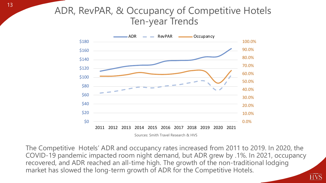# ADR, RevPAR, & Occupancy of Competitive Hotels<br>Ten-year Trends



The Competitive Hotels' ADR and occupancy rates increased from 2011 to 2019. In 2020, the COVID-19 pandemic impacted room night demand, but ADR grew by .1%. In 2021, occupancy recovered, and ADR reached an all-time high. The growth of the non-traditional lodging market has slowed the long-term growth of ADR for the Competitive Hotels.

<u>HVŠ</u>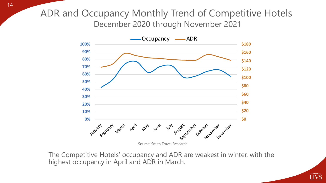#### ADR and Occupancy Monthly Trend of Competitive Hotels December 2020 through November 2021



The Competitive Hotels' occupancy and ADR are weakest in winter, with the highest occupancy in April and ADR in March.

 $\overline{\text{HVS}}$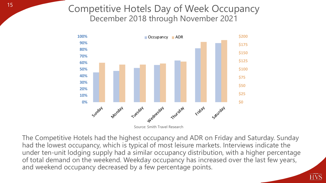#### Competitive Hotels Day of Week Occupancy December 2018 through November 2021



Source: Smith Travel Research

The Competitive Hotels had the highest occupancy and ADR on Friday and Saturday. Sunday had the lowest occupancy, which is typical of most leisure markets. Interviews indicate the under ten-unit lodging supply had a similar occupancy distribution, with a higher percentage of total demand on the weekend. Weekday occupancy has increased over the last few years, and weekend occupancy decreased by a few percentage points.

HVS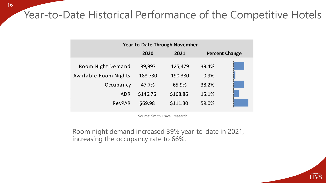#### Year-to-Date Historical Performance of the Competitive Hotels

| <b>Year-to-Date Through November</b> |          |          |       |                       |  |  |  |  |  |
|--------------------------------------|----------|----------|-------|-----------------------|--|--|--|--|--|
|                                      | 2020     | 2021     |       | <b>Percent Change</b> |  |  |  |  |  |
| Room Night Demand                    | 89,997   | 125,479  | 39.4% |                       |  |  |  |  |  |
| Available Room Nights                | 188,730  | 190,380  | 0.9%  |                       |  |  |  |  |  |
| Occupancy                            | 47.7%    | 65.9%    | 38.2% |                       |  |  |  |  |  |
| <b>ADR</b>                           | \$146.76 | \$168.86 | 15.1% |                       |  |  |  |  |  |
| RevPAR                               | \$69.98  | \$111.30 | 59.0% |                       |  |  |  |  |  |

Source: Smith Travel Research

Room night demand increased 39% year-to-date in 2021, increasing the occupancy rate to 66%.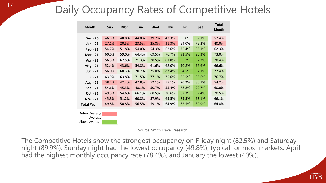#### Daily Occupancy Rates of Competitive Hotels

| <b>Month</b>          | Sun   | <b>Mon</b> | <b>Tue</b> | Wed   | Thu   | Fri   | Sat   | <b>Total</b><br><b>Month</b> |
|-----------------------|-------|------------|------------|-------|-------|-------|-------|------------------------------|
| Dec - 20              | 46.3% | 48.8%      | 44.0%      | 39.2% | 47.3% | 66.0% | 82.1% | 52.4%                        |
| Jan - 21              | 27.1% | 20.5%      | 23.5%      | 25.8% | 31.3% | 64.0% | 76.2% | 40.0%                        |
| Feb - 21              | 54.7% | 51.8%      | 54.0%      | 54.3% | 62.6% | 75.4% | 83.1% | 62.3%                        |
| <b>Mar - 21</b>       | 60.0% | 59.0%      | 64.4%      | 69.5% | 76.7% | 91.5% | 96.3% | 73.0%                        |
| Apr - 21              | 56.5% | 62.5%      | 71.3%      | 78.5% | 81.8% | 95.7% | 97.3% | 78.4%                        |
| May - 21              | 52.4% | 43.6%      | 54.8%      | 61.6% | 68.0% | 90.8% | 96.6% | 66.6%                        |
| Jun - 21              | 56.0% | 68.3%      | 70.2%      | 75.0% | 83.4% | 94.5% | 97.1% | 77.4%                        |
| <b>Jul - 21</b>       | 63.9% | 63.8%      | 71.5%      | 77.1% | 75.6% | 85.5% | 93.6% | 76.7%                        |
| Aug - 21              | 38.2% | 42.4%      | 47.8%      | 52.1% | 57.1% | 70.2% | 80.1% | 54.2%                        |
| Sep - 21              | 54.6% | 45.3%      | 48.1%      | 50.7% | 55.4% | 78.8% | 90.7% | 60.0%                        |
| Oct - 21              | 49.5% | 54.6%      | 66.1%      | 68.5% | 70.6% | 87.3% | 92.4% | 70.5%                        |
| <b>Nov - 21</b>       | 45.8% | 51.2%      | 60.8%      | 57.9% | 69.5% | 89.5% | 93.1% | 66.1%                        |
| <b>Total Year</b>     | 49.8% | 50.8%      | 56.5%      | 59.1% | 64.9% | 82.5% | 89.9% | 64.8%                        |
| $\Omega$ olow Avorago |       |            |            |       |       |       |       |                              |

Below Average Average Above Average

Source: Smith Travel Research

The Competitive Hotels show the strongest occupancy on Friday night (82.5%) and Saturday night (89.9%). Sunday night had the lowest occupancy (49.8%), typical for most markets. April had the highest monthly occupancy rate (78.4%), and January the lowest (40%).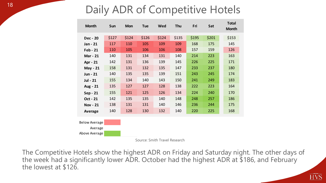#### Daily ADR of Competitive Hotels

| <b>Month</b>         | Sun   | <b>Mon</b> | <b>Tue</b>                    | Wed   | Thu   | Fri   | Sat   | <b>Total</b><br><b>Month</b> |
|----------------------|-------|------------|-------------------------------|-------|-------|-------|-------|------------------------------|
| <b>Dec - 20</b>      | \$127 | \$124      | \$126                         | \$124 | \$135 | \$195 | \$201 | \$153                        |
| Jan - 21             | 117   | 110        | 105                           | 109   | 109   | 168   | 175   | 145                          |
| <b>Feb - 21</b>      | 110   | 105        | 106                           | 106   | 108   | 157   | 159   | 126                          |
| <b>Mar - 21</b>      | 140   | 131        | 134                           | 131   | 140   | 214   | 223   | 163                          |
| Apr - 21             | 142   | 131        | 136                           | 139   | 145   | 226   | 225   | 171                          |
| May - 21             | 158   | 131        | 132                           | 135   | 147   | 233   | 237   | 180                          |
| Jun - 21             | 140   | 135        | 135                           | 139   | 151   | 243   | 245   | 174                          |
| Jul - 21             | 155   | 134        | 140                           | 143   | 150   | 241   | 249   | 183                          |
| Aug - 21             | 135   | 127        | 127                           | 128   | 138   | 222   | 223   | 164                          |
| Sep - 21             | 155   | 121        | 125                           | 126   | 134   | 224   | 240   | 170                          |
| Oct - 21             | 142   | 135        | 135                           | 140   | 148   | 248   | 257   | 186                          |
| <b>Nov - 21</b>      | 138   | 131        | 131                           | 140   | 146   | 236   | 244   | 175                          |
| <b>Average</b>       | 140   | 128        | 130                           | 132   | 140   | 220   | 225   | 168                          |
| <b>Below Average</b> |       |            |                               |       |       |       |       |                              |
| Average              |       |            |                               |       |       |       |       |                              |
| Above Average        |       |            |                               |       |       |       |       |                              |
|                      |       |            | Source: Smith Travel Research |       |       |       |       |                              |

The Competitive Hotels show the highest ADR on Friday and Saturday night. The other days of the week had a significantly lower ADR. October had the highest ADR at \$186, and February the lowest at \$126.

HVS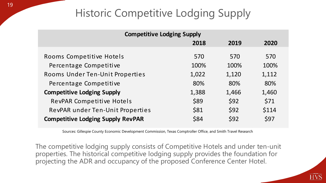#### Historic Competitive Lodging Supply

| <b>Competitive Lodging Supply</b>        |       |       |       |  |  |  |  |
|------------------------------------------|-------|-------|-------|--|--|--|--|
|                                          | 2018  | 2019  | 2020  |  |  |  |  |
| Rooms Competitive Hotels                 | 570   | 570   | 570   |  |  |  |  |
| Percentage Competitive                   | 100%  | 100%  | 100%  |  |  |  |  |
| Rooms Under Ten-Unit Properties          | 1,022 | 1,120 | 1,112 |  |  |  |  |
| Percentage Competitive                   | 80%   | 80%   | 80%   |  |  |  |  |
| <b>Competitive Lodging Supply</b>        | 1,388 | 1,466 | 1,460 |  |  |  |  |
| RevPAR Competitive Hotels                | \$89  | \$92  | \$71  |  |  |  |  |
| RevPAR under Ten-Unit Properties         | \$81  | \$92  | \$114 |  |  |  |  |
| <b>Competitive Lodging Supply RevPAR</b> | \$84  | \$92  | \$97  |  |  |  |  |

Sources: Gillespie County Economic Development Commission, Texas Comptroller Office, and Smith Travel Research

The competitive lodging supply consists of Competitive Hotels and under ten-unit properties. The historical competitive lodging supply provides the foundation for projecting the ADR and occupancy of the proposed Conference Center Hotel.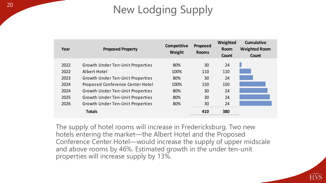# New Lodging Supply

| Year | <b>Proposed Property</b>         | <b>Competitive</b><br>Weight | Proposed<br><b>Rooms</b> | Weighted<br><b>Room</b><br>Count | <b>Cumulative</b><br><b>Weighted Room</b><br>Count |
|------|----------------------------------|------------------------------|--------------------------|----------------------------------|----------------------------------------------------|
|      |                                  | 80%                          |                          | 24                               |                                                    |
| 2022 | Growth Under Ten-Unit Properties |                              | 30                       |                                  |                                                    |
| 2022 | Albert Hotel                     | 100%                         | 110                      | 110                              |                                                    |
| 2023 | Growth Under Ten-Unit Properties | 80%                          | 30                       | 24                               |                                                    |
| 2024 | Proposed Conference Center Hotel | 100%                         | 150                      | 150                              |                                                    |
| 2024 | Growth Under Ten-Unit Properties | 80%                          | 30                       | 24                               |                                                    |
| 2025 | Growth Under Ten-Unit Properties | 80%                          | 30                       | 24                               |                                                    |
| 2026 | Growth Under Ten-Unit Properties | 80%                          | 30                       | 24                               |                                                    |
|      | <b>Totals</b>                    |                              | 410                      | 380                              |                                                    |

The supply of hotel rooms will increase in Fredericksburg. Two new hotels entering the market—the Albert Hotel and the Proposed Conference Center Hotel—would increase the supply of upper midscale and above rooms by 46%. Estimated growth in the under ten-unit properties will increase supply by 13%.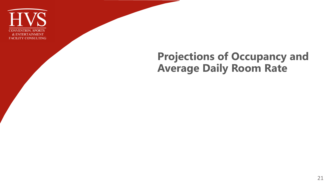

#### **Projections of Occupancy and Average Daily Room Rate**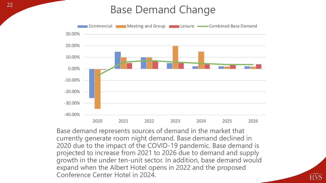#### **Base Demand Change**



Base demand represents sources of demand in the market that currently generate room night demand. Base demand declined in 2020 due to the impact of the COVID-19 pandemic. Base demand is projected to increase from 2021 to 2026 due to demand and supply growth in the under ten-unit sector. In addition, base demand would expand when the Albert Hotel opens in 2022 and the proposed Conference Center Hotel in 2024.

HVS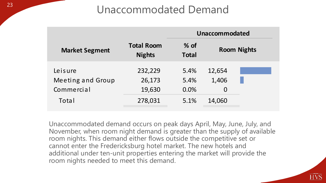#### Unaccommodated Demand

|                       |                                    |                        | Unaccommodated |                    |
|-----------------------|------------------------------------|------------------------|----------------|--------------------|
| <b>Market Segment</b> | <b>Total Room</b><br><b>Nights</b> | $%$ of<br><b>Total</b> |                | <b>Room Nights</b> |
| Leisure               | 232,229                            | 5.4%                   | 12,654         |                    |
| Meeting and Group     | 26,173                             | 5.4%                   | 1,406          |                    |
| Commercial            | 19,630                             | 0.0%                   | $\overline{0}$ |                    |
| Total                 | 278,031                            | 5.1%                   | 14,060         |                    |

Unaccommodated demand occurs on peak days April, May, June, July, and November, when room night demand is greater than the supply of available room nights. This demand either flows outside the competitive set or cannot enter the Fredericksburg hotel market. The new hotels and additional under ten-unit properties entering the market will provide the room nights needed to meet this demand.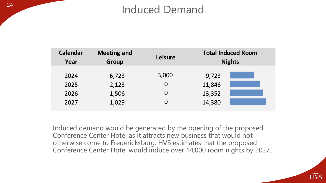#### **Induced Demand**

| <b>Calendar</b><br>Year | <b>Meeting and</b><br>Group | <b>Leisure</b> | <b>Total Induced Room</b><br><b>Nights</b> |  |  |  |  |
|-------------------------|-----------------------------|----------------|--------------------------------------------|--|--|--|--|
| 2024                    | 6,723                       | 3,000          | 9,723                                      |  |  |  |  |
| 2025                    | 2,123                       | $\overline{0}$ | 11,846                                     |  |  |  |  |
| 2026                    | 1,506                       | $\overline{0}$ | 13,352                                     |  |  |  |  |
| 2027                    | 1,029                       | $\Omega$       | 14,380                                     |  |  |  |  |
|                         |                             |                |                                            |  |  |  |  |

Induced demand would be generated by the opening of the proposed Conference Center Hotel as it attracts new business that would not otherwise come to Fredericksburg. HVS estimates that the proposed Conference Center Hotel would induce over 14,000 room nights by 2027.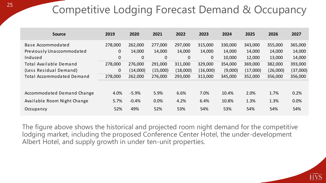## Competitive Lodging Forecast Demand & Occupancy

| <b>Source</b>                    | 2019         | 2020        | 2021         | 2022        | 2023         | 2024    | 2025     | 2026     | 2027     |
|----------------------------------|--------------|-------------|--------------|-------------|--------------|---------|----------|----------|----------|
| Base Accommodated                | 278,000      | 262,000     | 277,000      | 297,000     | 315,000      | 330,000 | 343,000  | 355,000  | 365,000  |
| Previously Unaccommodated        | $\mathbf 0$  | 14,000      | 14,000       | 14,000      | 14,000       | 14,000  | 14,000   | 14,000   | 14,000   |
| Induced                          | $\mathbf 0$  | $\mathbf 0$ | $\mathbf{0}$ | $\mathbf 0$ | $\mathbf{0}$ | 10,000  | 12,000   | 13,000   | 14,000   |
| Total Available Demand           | 278,000      | 276,000     | 291,000      | 311,000     | 329,000      | 354,000 | 369,000  | 382,000  | 393,000  |
| (Less Residual Demand)           | $\mathbf{0}$ | (14,000)    | (15,000)     | (18,000)    | (16,000)     | (9,000) | (17,000) | (26,000) | (37,000) |
| <b>Total Accommodated Demand</b> | 278,000      | 262,000     | 276,000      | 293,000     | 313,000      | 345,000 | 352,000  | 356,000  | 356,000  |
|                                  |              |             |              |             |              |         |          |          |          |
| Accommodated Demand Change       | 4.0%         | $-5.9%$     | 5.9%         | 6.6%        | 7.0%         | 10.4%   | 2.0%     | 1.7%     | 0.2%     |
| Available Room Night Change      | 5.7%         | $-0.4%$     | 0.0%         | 4.2%        | 6.4%         | 10.8%   | 1.3%     | 1.3%     | 0.0%     |
| Occupancy                        | 52%          | 49%         | 52%          | 53%         | 54%          | 53%     | 54%      | 54%      | 54%      |

The figure above shows the historical and projected room night demand for the competitive lodging market, including the proposed Conference Center Hotel, the under-development Albert Hotel, and supply growth in under ten-unit properties.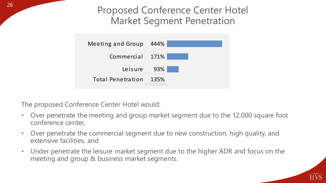Proposed Conference Center Hotel Market Segment Penetration



The proposed Conference Center Hotel would:

- Over penetrate the meeting and group market segment due to the 12,000 square foot conference center,
- Over penetrate the commercial segment due to new construction, high quality, and extensive facilities, and
- Under penetrate the leisure market segment due to the higher ADR and focus on the meeting and group & business market segments.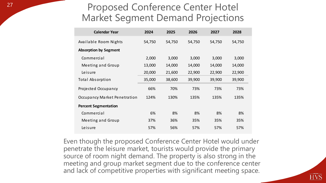#### Proposed Conference Center Hotel Market Segment Demand Projections

| <b>Calendar Year</b>         | 2024   | 2025   | 2026   | 2027   | 2028   |
|------------------------------|--------|--------|--------|--------|--------|
| Available Room Nights        | 54,750 | 54,750 | 54,750 | 54,750 | 54,750 |
| <b>Absorption by Segment</b> |        |        |        |        |        |
| Commercial                   | 2,000  | 3,000  | 3,000  | 3,000  | 3,000  |
| Meeting and Group            | 13,000 | 14,000 | 14,000 | 14,000 | 14,000 |
| Leisure                      | 20,000 | 21,600 | 22,900 | 22,900 | 22,900 |
| <b>Total Absorption</b>      | 35,000 | 38,600 | 39,900 | 39,900 | 39,900 |
| Projected Occupancy          | 66%    | 70%    | 73%    | 73%    | 73%    |
| Occupancy Market Penetration | 124%   | 130%   | 135%   | 135%   | 135%   |
| <b>Percent Segmentation</b>  |        |        |        |        |        |
| Commercial                   | 6%     | 8%     | 8%     | 8%     | 8%     |
| Meeting and Group            | 37%    | 36%    | 35%    | 35%    | 35%    |
| Leisure                      | 57%    | 56%    | 57%    | 57%    | 57%    |

Even though the proposed Conference Center Hotel would under penetrate the leisure market, tourists would provide the primary source of room night demand. The property is also strong in the meeting and group market segment due to the conference center and lack of competitive properties with significant meeting space.

HVS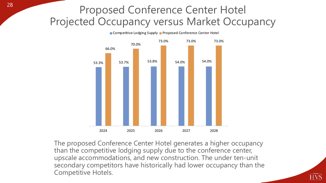#### Proposed Conference Center Hotel Projected Occupancy versus Market Occupancy



The proposed Conference Center Hotel generates a higher occupancy than the competitive lodging supply due to the conference center, upscale accommodations, and new construction. The under ten-unit secondary competitors have historically had lower occupancy than the Competitive Hotels.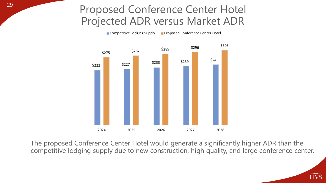#### Proposed Conference Center Hotel Projected ADR versus Market ADR

**Competitive Lodging Supply Proposed Conference Center Hotel** 



The proposed Conference Center Hotel would generate a significantly higher ADR than the competitive lodging supply due to new construction, high quality, and large conference center.

HVS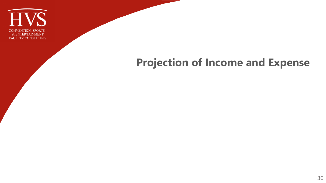

# **Projection of Income and Expense**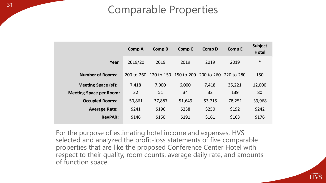#### **Comparable Properties**

|                                | <b>Comp A</b> | <b>Comp B</b> | Comp C     | <b>Comp D</b> | <b>Comp E</b> | <b>Subject</b><br><b>Hotel</b> |
|--------------------------------|---------------|---------------|------------|---------------|---------------|--------------------------------|
| Year                           | 2019/20       | 2019          | 2019       | 2019          | 2019          | $\ast$                         |
| <b>Number of Rooms:</b>        | 200 to 260    | 120 to 150    | 150 to 200 | 200 to 260    | 220 to 280    | 150                            |
| <b>Meeting Space (sf):</b>     | 7,418         | 7,000         | 6,000      | 7,418         | 35,221        | 12,000                         |
| <b>Meeting Space per Room:</b> | 32            | 51            | 34         | 32            | 139           | 80                             |
| <b>Occupied Rooms:</b>         | 50,861        | 37,887        | 51,649     | 53,715        | 78,251        | 39,968                         |
| <b>Average Rate:</b>           | \$241         | \$196         | \$238      | \$250         | \$192         | \$242                          |
| <b>RevPAR:</b>                 | \$146         | \$150         | \$191      | \$161         | \$163         | \$176                          |

For the purpose of estimating hotel income and expenses, HVS selected and analyzed the profit-loss statements of five comparable properties that are like the proposed Conference Center Hotel with respect to their quality, room counts, average daily rate, and amounts of function space.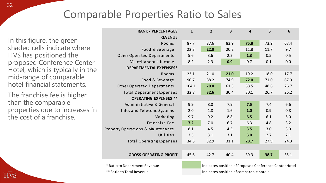#### Comparable Properties Ratio to Sales

In this figure, the green shaded cells indicate where HVS has positioned the proposed Conference Center Hotel, which is typically in the mid-range of comparable hotel financial statements.

The franchise fee is higher than the comparable properties due to increases in the cost of a franchise.

| <b>RANK - PERCENTAGES</b>                    | 1     | $\overline{2}$ | 3    | $\overline{\mathbf{4}}$ | 5    | 6    |
|----------------------------------------------|-------|----------------|------|-------------------------|------|------|
| <b>REVENUE</b>                               |       |                |      |                         |      |      |
| Rooms                                        | 87.7  | 87.6           | 83.9 | 75.8                    | 73.9 | 67.4 |
| Food & Beverage                              | 22.3  | 22.0           | 20.2 | 11.8                    | 11.7 | 9.7  |
| <b>Other Operated Departments</b>            | 5.6   | 3.6            | 2.2  | 1.3                     | 0.5  | 0.5  |
| Miscellaneous Income                         | 8.2   | 2.3            | 0.9  | 0.7                     | 0.1  | 0.0  |
| DEPARTMENTAL EXPENSES*                       |       |                |      |                         |      |      |
| Rooms                                        | 23.1  | 21.0           | 21.0 | 19.2                    | 18.0 | 17.7 |
| Food & Beverage                              | 90.7  | 88.2           | 74.9 | 72.0                    | 71.0 | 67.9 |
| <b>Other Operated Departments</b>            | 104.1 | 70.0           | 61.3 | 58.5                    | 48.6 | 26.7 |
| <b>Total Department Expenses</b>             | 32.8  | 32.6           | 30.4 | 30.1                    | 26.7 | 26.2 |
| <b>OPERATING EXPENSES **</b>                 |       |                |      |                         |      |      |
| Administrative & General                     | 9.9   | 8.0            | 7.9  | 7.5                     | 7.4  | 6.6  |
| Info. and Telecom. Systems                   | 2.0   | 1.8            | 1.6  | 1.0                     | 0.9  | 0.8  |
| Marketing                                    | 9.7   | 9.2            | 8.8  | 6.5                     | 6.1  | 5.0  |
| Franchise Fee                                | 7.2   | 7.0            | 6.7  | 6.3                     | 4.8  | 3.2  |
| <b>Property Operations &amp; Maintenance</b> | 8.1   | 4.5            | 4.3  | 3.5                     | 3.0  | 3.0  |
| Utilities                                    | 3.3   | 3.1            | 3.1  | 3.0                     | 2.7  | 2.1  |
| <b>Total Operating Expenses</b>              | 34.5  | 32.9           | 31.1 | 28.7                    | 27.9 | 24.3 |
|                                              |       |                |      |                         |      |      |
| <b>GROSS OPERATING PROFIT</b>                | 45.6  | 42.7           | 40.4 | 39.3                    | 38.7 | 35.1 |
|                                              |       |                |      |                         |      |      |

\* Ratio to Department Revenue indicates position of Proposed Conference Center Hotel \*\* Ratio to Total Revenue indicates position of comparable hotels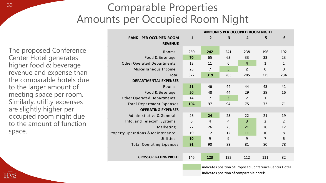#### <sup>33</sup> Comparable Properties Amounts per Occupied Room Night

The proposed Conference Center Hotel generates higher food & beverage revenue and expense than the comparable hotels due to the larger amount of meeting space per room. Similarly, utility expenses are slightly higher per occupied room night due to the amount of function space.

|                                   |              |                |                         | AMOUNTS PER OCCUPIED ROOM NIGHT |                |                |
|-----------------------------------|--------------|----------------|-------------------------|---------------------------------|----------------|----------------|
| <b>RANK - PER OCCUPIED ROOM</b>   | $\mathbf{1}$ | $\overline{2}$ | 3                       | 4                               | 5              | 6              |
| <b>REVENUE</b>                    |              |                |                         |                                 |                |                |
| Rooms                             | 250          | 242            | 241                     | 238                             | 196            | 192            |
| Food & Beverage                   | 70           | 65             | 63                      | 33                              | 33             | 23             |
| <b>Other Operated Departments</b> | 13           | 11             | 6                       | $\overline{\mathbf{4}}$         | 1              | $\mathbf{1}$   |
| Miscellaneous Income              | 23           | 7              | $\overline{3}$          | 2                               | 0              | $\mathbf 0$    |
| Total                             | 322          | 319            | 285                     | 285                             | 275            | 234            |
| <b>DEPARTMENTAL EXPENSES</b>      |              |                |                         |                                 |                |                |
| Rooms                             | 51           | 46             | 44                      | 44                              | 43             | 41             |
| Food & Beverage                   | 50           | 48             | 44                      | 29                              | 29             | 16             |
| <b>Other Operated Departments</b> | 14           | $\overline{7}$ | $\overline{\mathbf{3}}$ | $\overline{2}$                  | 1              | $\mathbf{1}$   |
| <b>Total Department Expenses</b>  | 104          | 97             | 94                      | 75                              | 73             | 71             |
| <b>OPERATING EXPENSES</b>         |              |                |                         |                                 |                |                |
| Administrative & General          | 26           | 24             | 23                      | 22                              | 21             | 19             |
| Info. and Telecom. Systems        | 6            | $\overline{4}$ | 4                       | $\overline{\mathbf{3}}$         | $\overline{2}$ | $\overline{2}$ |
| Marketing                         | 27           | 26             | 25                      | 21                              | 20             | 12             |
| Property Operations & Maintenance | 19           | 12             | 12                      | 11                              | 10             | 8              |
| Utilities                         | 10           | 9              | 9                       | 9                               | $\overline{7}$ | 6              |
| <b>Total Operating Expenses</b>   | 91           | 90             | 89                      | 81                              | 80             | 78             |
|                                   |              |                |                         |                                 |                |                |
| <b>GROSS OPERATING PROFIT</b>     | 146          | 123            | 122                     | 112                             | 111            | 82             |

indicates position of Proposed Conference Center Hotel indicates position of comparable hotels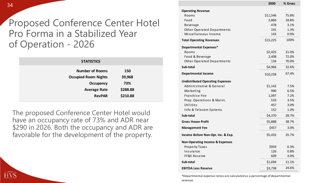Proposed Conference Center Hotel Pro Forma in a Stabilized Year of Operation - 2026

| <b>STATISTICS</b>           |          |
|-----------------------------|----------|
| <b>Number of Rooms</b>      | 150      |
| <b>Occupied Room Nights</b> | 39,968   |
| Occupancy                   | 73%      |
| <b>Average Rate</b>         | \$288.88 |
| <b>RevPAR</b>               | \$210.88 |
|                             |          |

The proposed Conference Center Hotel would have an occupancy rate of 73% and ADR near \$290 in 2026. Both the occupancy and ADR are favorable for the development of the property.

|                                            | \$000    | % Gross |
|--------------------------------------------|----------|---------|
| <b>Operating Revenue</b>                   |          |         |
| Rooms                                      | \$11,546 | 75.8%   |
| Food                                       | 2,866    | 18.8%   |
| Beverage                                   | 478      | 3.1%    |
| <b>Other Operated Departments</b>          | 191      | 1.3%    |
| Miscellaneous Income                       | 143      | 0.9%    |
| <b>Total Operating Revenues</b>            | \$15,225 | 100%    |
| <b>Departmental Expenses*</b>              |          |         |
| Rooms                                      | \$2,425  | 21.0%   |
| Food & Beverage                            | 2,408    | 72.0%   |
| <b>Other Operated Departments</b>          | 134      | 70.0%   |
| Sub-total                                  | \$4,966  | 32.6%   |
| <b>Departmental Income</b>                 | \$10,258 | 67.4%   |
| <b>Undistributed Operating Expenses</b>    |          |         |
| Administrative & General                   | \$1,142  | 7.5%    |
| Marketing                                  | 990      | 6.5%    |
| Franchise Fee                              | 1,097    | 7.2%    |
| Prop. Operations & Maint.                  | 533      | 3.5%    |
| Utilities                                  | 457      | 3.0%    |
| Info & Telecom Systems                     | 152      | 1.0%    |
| Sub-total                                  | \$4,370  | 28.7%   |
| <b>Gross House Profit</b>                  | \$5,888  | 38.7%   |
| <b>Management Fee</b>                      | \$457    | 3.0%    |
| Income Before Non-Opr. Inc. & Exp.         | \$5,432  | 35.7%   |
| <b>Non-Operating Income &amp; Expenses</b> |          |         |
| Property Taxes                             | \$959    | 6.3%    |
| Insurance                                  | 126      | 0.8%    |
| FF&E Reserve                               | 609      | 4.0%    |
| Sub-total                                  | \$1,694  | 11.1%   |
| <b>EBITDA Less Reserve</b>                 | \$3,738  | 24.6%   |

\*Departmental expense ratios are calculated as a percentage of departmental revenue.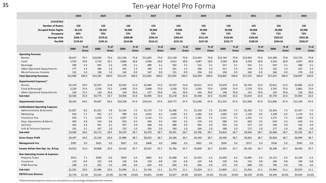#### 35 Ten-year Hotel Pro Forma

|                                                                                                                                 | 2024                                         |               | 2025                                         |                        | 2026                                         |                 | 2027                                         |               | 2028                                         |               | 2029                                         |               | 2030                                         |                 | 2031                                         |                 | 2032                                         |                 | 2033                                         |                 |
|---------------------------------------------------------------------------------------------------------------------------------|----------------------------------------------|---------------|----------------------------------------------|------------------------|----------------------------------------------|-----------------|----------------------------------------------|---------------|----------------------------------------------|---------------|----------------------------------------------|---------------|----------------------------------------------|-----------------|----------------------------------------------|-----------------|----------------------------------------------|-----------------|----------------------------------------------|-----------------|
| <b>STATISTICS</b><br><b>Number of Rooms</b><br><b>Occupied Room Nights</b><br>Occupancy<br><b>Average Rate</b><br><b>RevPAR</b> | 150<br>36,135<br>66%<br>\$266.71<br>\$176.03 |               | 150<br>38,325<br>70%<br>\$279.01<br>\$195.31 |                        | 150<br>39,968<br>73%<br>\$288.88<br>\$210.88 |                 | 150<br>39,968<br>73%<br>\$296.10<br>\$216.15 |               | 150<br>39,968<br>73%<br>\$303.50<br>\$221.55 |               | 150<br>39,968<br>73%<br>\$311.09<br>\$227.09 |               | 150<br>39,968<br>73%<br>\$318.86<br>\$232.77 |                 | 150<br>39,968<br>73%<br>\$326.84<br>\$238.59 |                 | 150<br>39,968<br>73%<br>\$335.01<br>\$244.56 |                 | 150<br>39,968<br>73%<br>\$343.38<br>\$250.67 |                 |
|                                                                                                                                 | \$000                                        | % of<br>Gross | \$000                                        | $%$ of<br><b>Gross</b> | \$000                                        | $%$ of<br>Gross | \$000                                        | % of<br>Gross | \$000                                        | % of<br>Gross | \$000                                        | % of<br>Gross | \$000                                        | $%$ of<br>Gross | \$000                                        | $%$ of<br>Gross | \$000                                        | $%$ of<br>Gross | \$000                                        | $%$ of<br>Gross |
| <b>Operating Revenue</b>                                                                                                        |                                              |               |                                              |                        |                                              |                 |                                              |               |                                              |               |                                              |               |                                              |                 |                                              |                 |                                              |                 |                                              |                 |
| Rooms                                                                                                                           | \$9,637                                      | 74.7          | \$10,693                                     | 75.4                   | \$11,546                                     | 75.8            | \$11,834                                     | 75.8          | \$12,130                                     | 75.8          | \$12,433                                     | 75.8          | \$12,744                                     | 75.8            | \$13,063                                     | 75.8            | \$13,389                                     | 75.8            | \$13,724                                     | 75.8            |
| Food                                                                                                                            | 2,532                                        | 19.6          | 2,710                                        | 19.1                   | 2,866                                        | 18.8            | 2,938                                        | 18.8          | 3,012                                        | 18.8          | 3,087                                        | 18.8          | 3,164                                        | 18.8            | 3,243                                        | 18.8            | 3,324                                        | 18.8            | 3,407                                        | 18.8            |
| Beverage                                                                                                                        | 430                                          | 3.3           | 455                                          | 3.2                    | 478                                          | 3.1             | 490                                          | 3.1           | 502                                          | 3.1           | 514                                          | 3.1           | 527                                          | 3.1             | 541                                          | 3.1             | 554                                          | 3.1             | 568                                          | 3.1             |
| Other Operated Departments                                                                                                      | 177                                          | 1.4           | 184                                          | 1.3                    | 191                                          | 1.3             | 196                                          | 1.3           | 201                                          | 1.3           | 206                                          | 1.3           | 211                                          | 1.3             | 216                                          | 1.3             | 222                                          | 1.3             | 227                                          | 1.3             |
| Miscellaneous Income                                                                                                            | 132                                          | 1.0           | 138                                          | 1.0                    | 143                                          | 0.9             | 147                                          | 0.9           | 151                                          | 0.9           | 154                                          | 0.9           | 158                                          | 0.9             | 162                                          | 0.9             | 166                                          | 0.9             | 170                                          | 0.9             |
| <b>Total Operating Revenues</b>                                                                                                 | \$12,908                                     | 100.0         | \$14,181                                     | 100.0                  | \$15,225                                     | 100.0           | \$15,605                                     | 100.0         | \$15,995                                     | 100.0         | \$16,394                                     | 100.0         | \$16,805                                     | 100.0           | \$17,225                                     | 100.0           | \$17,655                                     | 100.0           | \$18,097                                     | 100.0           |
| <b>Departmental Expenses*</b>                                                                                                   |                                              |               |                                              |                        |                                              |                 |                                              |               |                                              |               |                                              |               |                                              |                 |                                              |                 |                                              |                 |                                              |                 |
| Rooms                                                                                                                           | \$2,219                                      | 23.0          | \$2,327                                      | 21.8                   | \$2,425                                      | 21.0            | \$2,485                                      | 21.0          | \$2,547                                      | 21.0          | \$2,611                                      | 21.0          | \$2,676                                      | 21.0            | \$2,743                                      | 21.0            | \$2,812                                      | 21.0            | \$2,882                                      | 21.0            |
| Food & Beverage                                                                                                                 | 2,220                                        | 75.0          | 2,318                                        | 73.2                   | 2,408                                        | 72.0            | 2,468                                        | 72.0          | 2,530                                        | 72.0          | 2,593                                        | 72.0          | 2,658                                        | 72.0            | 2,724                                        | 72.0            | 2,792                                        | 72.0            | 2,862                                        | 72.0            |
| Other Operated Departments                                                                                                      | 126                                          | 71.5          | 130                                          | 70.6                   | 134                                          | 70.0            | 137                                          | 70.0          | 141                                          | 70.0          | 144                                          | 70.0          | 148                                          | 70.0            | 151                                          | 70.0            | 155                                          | 70.0            | 159                                          | 70.0            |
| Sub-total                                                                                                                       | \$4,566                                      | 35.4          | \$4,774                                      | 33.7                   | \$4,966                                      | 32.6            | \$5,090                                      | 32.6          | \$5,218                                      | 32.6          | \$5,348                                      | 32.6          | \$5,482                                      | 32.6            | \$5,619                                      | 32.6            | \$5,759                                      | 32.6            | \$5,903                                      | 32.6            |
| <b>Departmental Income</b>                                                                                                      | \$8,343                                      | 64.6          | \$9,407                                      | 66.3                   | \$10,258                                     | 67.4            | \$10,514                                     | 67.4          | \$10,777                                     | 67.4          | \$11,046                                     | 67.4          | \$11,323                                     | 67.4            | \$11,606                                     | 67.4            | \$11,896                                     | 67.4            | \$12,194                                     | 67.4            |
| <b>Undistributed Operating Expenses</b>                                                                                         |                                              |               |                                              |                        |                                              |                 |                                              |               |                                              |               |                                              |               |                                              |                 |                                              |                 |                                              |                 |                                              |                 |
| Administrative & General                                                                                                        | \$1,057                                      | 8.2           | \$1,101                                      | 7.8                    | \$1,142                                      | 7.5             | \$1,170                                      | 7.5           | \$1,200                                      | 7.5           | \$1,230                                      | 7.5           | \$1,260                                      | 7.5             | \$1,292                                      | 7.5             | \$1,324                                      | 7.5             | \$1,357                                      | 7.5             |
| Marketing                                                                                                                       | 916                                          | 7.1           | 955                                          | 6.7                    | 990                                          | 6.5             | 1,014                                        | 6.5           | 1,040                                        | 6.5           | 1,066                                        | 6.5           | 1,092                                        | 6.5             | 1,120                                        | 6.5             | 1,148                                        | 6.5             | 1,176                                        | 6.5             |
| Franchise Fee                                                                                                                   | 916                                          | 7.1           | 1,016                                        | 7.2                    | 1,097                                        | 7.2             | 1,124                                        | 7.2           | 1,152                                        | 7.2           | 1,181                                        | 7.2           | 1,211                                        | 7.2             | 1,241                                        | 7.2             | 1,272                                        | 7.2             | 1,304                                        | 7.2             |
| Prop. Operations & Maint.                                                                                                       | 493                                          | 3.8           | 514                                          | 3.6                    | 533                                          | 3.5             | 546                                          | 3.5           | 560                                          | 3.5           | 574                                          | 3.5           | 588                                          | 3.5             | 603                                          | 3.5             | 618                                          | 3.5             | 633                                          | 3.5             |
| Utilities                                                                                                                       | 423                                          | 3.3           | 441                                          | 3.1                    | 457                                          | 3.0             | 468                                          | 3.0           | 480                                          | 3.0           | 492                                          | 3.0           | 504                                          | 3.0             | 517                                          | 3.0             | 530                                          | 3.0             | 543                                          | 3.0             |
| Info & Telecom Systems                                                                                                          | 141                                          | 1.1           | 147                                          | 1.0                    | 152                                          | 1.0             | 156                                          | 1.0           | 160                                          | 1.0           | 164                                          | 1.0           | 168                                          | 1.0             | 172                                          | 1.0             | 177                                          | 1.0             | 181                                          | 1.0             |
| Sub-total                                                                                                                       | \$3,946                                      | 30.6          | \$4,173                                      | 29.4                   | \$4,370                                      | 28.7            | \$4,479                                      | 28.7          | \$4,591                                      | 28.7          | \$4,706                                      | 28.7          | \$4,824                                      | 28.7            | \$4,944                                      | 28.7            | \$5,068                                      | 28.7            | \$5,195                                      | 28.7            |
| <b>Gross House Profit</b>                                                                                                       | \$4,397                                      | 34.0          | \$5,234                                      | 36.9                   | \$5,888                                      | 38.7            | \$6,035                                      | 38.7          | \$6,186                                      | 38.7          | \$6.340                                      | 38.7          | \$6,499                                      | 38.7            | \$6,662                                      | 38.7            | \$6,828                                      | 38.7            | \$6,999                                      | 38.7            |
| <b>Management Fee</b>                                                                                                           | \$387                                        | 3.0           | \$425                                        | 3.0                    | \$457                                        | 3.0             | \$468                                        | 3.0           | \$480                                        | 3.0           | \$492                                        | 3.0           | \$504                                        | 3.0             | \$517                                        | 3.0             | \$530                                        | 3.0             | \$543                                        | 3.0             |
| Income Before Non-Opr. Inc. & Exp.                                                                                              | \$4,010                                      | 31.0          | \$4,808                                      | 33.9                   | \$5,432                                      | 35.7            | \$5,567                                      | 35.7          | \$5,706                                      | 35.7          | \$5,849                                      | 35.7          | \$5,995                                      | 35.7            | \$6,145                                      | 35.7            | \$6,298                                      | 35.7            | \$6,456                                      | 35.7            |
| Non-Operating Income & Expenses                                                                                                 |                                              |               |                                              |                        |                                              |                 |                                              |               |                                              |               |                                              |               |                                              |                 |                                              |                 |                                              |                 |                                              |                 |
| <b>Property Taxes</b>                                                                                                           | \$913                                        | 7.1           | \$936                                        | 6.6                    | \$959                                        | 6.3             | \$983                                        | 6.3           | \$1,008                                      | 6.3           | \$1,033                                      | 6.3           | \$1,059                                      | 6.3             | \$1,085                                      | 6.3             | \$1,112                                      | 6.3             | \$1,140                                      | 6.3             |
| Insurance                                                                                                                       | 119                                          | 0.9           | 122                                          | 0.9                    | 126                                          | 0.8             | 129                                          | 0.8           | 132                                          | 0.8           | 135                                          | 0.8           | 139                                          | 0.8             | 142                                          | 0.8             | 146                                          | 0.8             | 149                                          | 0.8             |
| FF&E Reserve                                                                                                                    | 258                                          | 2.0           | 425                                          | 3.0                    | 609                                          | 4.0             | 624                                          | 4.0           | 640                                          | 4.0           | 656                                          | 4.0           | 672                                          | 4.0             | 689                                          | 4.0             | 706                                          | 4.0             | 724                                          | 4.0             |
| Sub-total                                                                                                                       | \$1,291                                      | 10.0          | \$1,484                                      | 10.5                   | \$1,694                                      | 11.1            | \$1,736                                      | 11.1          | \$1,779                                      | 11.1          | \$1,824                                      | 11.1          | \$1,869                                      | 11.1            | \$1,916                                      | 11.1            | \$1,964                                      | 11.1            | \$2,013                                      | 11.1            |
| <b>EBITDA Less Reserve</b>                                                                                                      | \$2,719                                      | 21.1%         | \$3,325                                      | 23.4%                  | \$3,738                                      | 24.6%           | \$3,831                                      | 24.6%         | \$3,927                                      | 24.6%         | \$4,025                                      | 24.5%         | \$4,126                                      | 24.6%           | \$4,229                                      | 24.6%           | \$4,334                                      | 24.5%           | \$4,443                                      | 24.6%           |

\*Departmental expense ratios are calculated as a percentage of departmental revenue.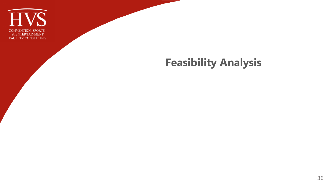

#### **Feasibility Analysis**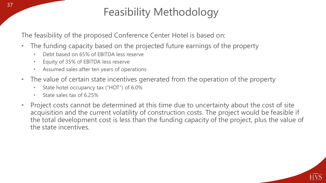# Feasibility Methodology

The feasibility of the proposed Conference Center Hotel is based on:

- The funding capacity based on the projected future earnings of the property
	- Debt based on 65% of EBITDA less reserve
	- Equity of 35% of EBITDA less reserve
	- Assumed sales after ten years of operations
- The value of certain state incentives generated from the operation of the property
	- State hotel occupancy tax ("HOT") of 6.0%
	- State sales tax of 6.25%
- Project costs cannot be determined at this time due to uncertainty about the cost of site acquisition and the current volatility of construction costs. The project would be feasible if the total development cost is less than the funding capacity of the project, plus the value of the state incentives.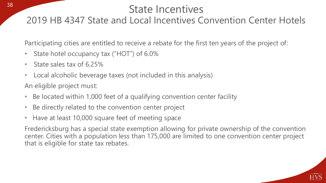#### State Incentives<br>Local Incentives Convention Center Hotels 2019 HB 4347 State and Local Incentives Convention Center Hotels

Participating cities are entitled to receive a rebate for the first ten years of the project of:

- State hotel occupancy tax ("HOT") of 6.0%
- State sales tax of 6.25%
- Local alcoholic beverage taxes (not included in this analysis)

An eligible project must:

- Be located within 1,000 feet of a qualifying convention center facility
- Be directly related to the convention center project
- Have at least 10,000 square feet of meeting space

Fredericksburg has a special state exemption allowing for private ownership of the convention center. Cities with a population less than 175,000 are limited to one convention center project that is eligible for state tax rebates.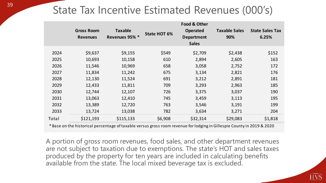# State Tax Incentive Estimated Revenues (000's)

|                                                                                |                   |                                                                                                                         |                     | Food & Other      |                      |                        |  |  |
|--------------------------------------------------------------------------------|-------------------|-------------------------------------------------------------------------------------------------------------------------|---------------------|-------------------|----------------------|------------------------|--|--|
|                                                                                | <b>Gross Room</b> | <b>Taxable</b>                                                                                                          | <b>State HOT 6%</b> | <b>Operated</b>   | <b>Taxable Sales</b> | <b>State Sales Tax</b> |  |  |
|                                                                                | <b>Revenues</b>   | Revenues 95% *                                                                                                          |                     | <b>Department</b> | 90%                  | 6.25%                  |  |  |
|                                                                                |                   |                                                                                                                         |                     | <b>Sales</b>      |                      |                        |  |  |
| 2024                                                                           | \$9,637           | \$9,155                                                                                                                 | \$549               | \$2,709           | \$2,438              | \$152                  |  |  |
| 2025                                                                           | 10,693            | 10,158                                                                                                                  | 610                 | 2,894             | 2,605                | 163                    |  |  |
| 2026                                                                           | 11,546            | 10,969                                                                                                                  | 658                 | 3,058             | 2,752                | 172                    |  |  |
| 2027                                                                           | 11,834            | 11,242                                                                                                                  | 675                 | 3,134             | 2,821                | 176                    |  |  |
| 2028                                                                           | 12,130            | 11,524                                                                                                                  | 691                 | 3,212             | 2,891                | 181                    |  |  |
| 2029                                                                           | 12,433            | 11,811                                                                                                                  | 709                 | 3,293             | 2,963                | 185                    |  |  |
| 2030                                                                           | 12,744            | 12,107                                                                                                                  | 726                 | 3,375             | 3,037                | 190                    |  |  |
| 2031                                                                           | 13,063            | 12,410                                                                                                                  | 745                 | 3,459             | 3,113                | 195                    |  |  |
| 2032                                                                           | 13,389            | 12,720                                                                                                                  | 763                 | 3,546             | 3,191                | 199                    |  |  |
| 2033                                                                           | 13,724            | 13,038                                                                                                                  | 782                 | 3,634             | 3,271                | 204                    |  |  |
| Total                                                                          | \$121,193         | \$115,133                                                                                                               | \$6,908             | \$32,314          | \$29,083             | \$1,818                |  |  |
|                                                                                |                   | * Base on the historical percentage of taxable versus gross room revenue for lodging in Gillespie County in 2019 & 2020 |                     |                   |                      |                        |  |  |
|                                                                                |                   |                                                                                                                         |                     |                   |                      |                        |  |  |
| A portion of gross room revenues, food sales, and other department revenues    |                   |                                                                                                                         |                     |                   |                      |                        |  |  |
| are not subject to taxation due to exemptions. The state's HOT and sales taxes |                   |                                                                                                                         |                     |                   |                      |                        |  |  |
| produced by the property for ten years are included in calculating benefits    |                   |                                                                                                                         |                     |                   |                      |                        |  |  |
|                                                                                |                   |                                                                                                                         |                     |                   |                      |                        |  |  |
| available from the state. The local mixed beverage tax is excluded.            |                   |                                                                                                                         |                     |                   |                      |                        |  |  |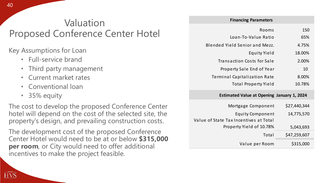#### Valuation Proposed Conference Center Hotel

Key Assumptions for Loan

- Full-service brand
- Third party management
- Current market rates
- Conventional loan
- 35% equity

The cost to develop the proposed Conference Center hotel will depend on the cost of the selected site, the property's design, and prevailing construction costs.

The development cost of the proposed Conference Center Hotel would need to be at or below **\$315,000 per room**, or City would need to offer additional incentives to make the project feasible.

|                        | <b>FINANCING FAIANTELETS</b>          |
|------------------------|---------------------------------------|
| 150<br>Rooms           |                                       |
| 65%                    | Loan-To-Value Ratio                   |
| 4.75%                  | <b>Blended Yield Senior and Mezz.</b> |
| 18.00%<br>Equity Yield |                                       |
| 2.00%                  | Transaction Costs for Sale            |
| 10                     | Property Sale End of Year             |
| 8.00%                  | <b>Terminal Capitalization Rate</b>   |
| 10.78%                 | <b>Total Property Yield</b>           |

**Financing Parameters**

 $\overline{f}$ 

#### **Estimated Value at Opening January 1, 2024**

| Mortgage Component                     | \$27,440,344 |
|----------------------------------------|--------------|
| <b>Equity Component</b>                | 14,775,570   |
| Value of State Tax Incentives at Total |              |
| Property Yield of 10.78%               | 5,043,693    |
| Total                                  | \$47,259,607 |
| Value per Room                         | \$315,000    |

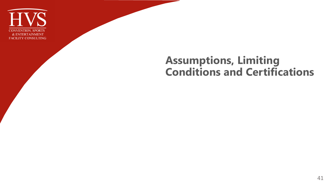

#### **Assumptions, Limiting Conditions and Certifications**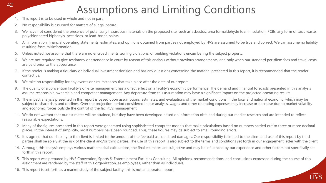### Assumptions and Limiting Conditions

- 1. This report is to be used in whole and not in part.
- 2. No responsibility is assumed for matters of a legal nature.
- 3. We have not considered the presence of potentially hazardous materials on the proposed site, such as asbestos, urea formaldehyde foam insulation, PCBs, any form of toxic waste, polychlorinated biphenyls, pesticides, or lead-based paints.
- 4. All information, financial operating statements, estimates, and opinions obtained from parties not employed by HVS are assumed to be true and correct. We can assume no liability resulting from misinformation.
- 5. Unless noted, we assume that there are no encroachments, zoning violations, or building violations encumbering the subject property.
- 6. We are not required to give testimony or attendance in court by reason of this analysis without previous arrangements, and only when our standard per-diem fees and travel costs are paid prior to the appearance.
- 7. If the reader is making a fiduciary or individual investment decision and has any questions concerning the material presented in this report, it is recommended that the reader contact us.
- 8. We take no responsibility for any events or circumstances that take place after the date of our report.
- 9. The quality of a convention facility's on-site management has a direct effect on a facility's economic performance. The demand and financial forecasts presented in this analysis assume responsible ownership and competent management. Any departure from this assumption may have a significant impact on the projected operating results.
- 10. The impact analysis presented in this report is based upon assumptions, estimates, and evaluations of the market conditions in the local and national economy, which may be subject to sharp rises and declines. Over the projection period considered in our analysis, wages and other operating expenses may increase or decrease due to market volatility and economic forces outside the control of the facility's management.
- 11. We do not warrant that our estimates will be attained, but they have been developed based on information obtained during our market research and are intended to reflect reasonable expectations.
- 12. Many of the figures presented in this report were generated using sophisticated computer models that make calculations based on numbers carried out to three or more decimal places. In the interest of simplicity, most numbers have been rounded. Thus, these figures may be subject to small rounding errors.
- 13. It is agreed that our liability to the client is limited to the amount of the fee paid as liquidated damages. Our responsibility is limited to the client and use of this report by third parties shall be solely at the risk of the client and/or third parties. The use of this report is also subject to the terms and conditions set forth in our engagement letter with the client.
- 14. Although this analysis employs various mathematical calculations, the final estimates are subjective and may be influenced by our experience and other factors not specifically set forth in this report.
- 15. This report was prepared by HVS Convention, Sports & Entertainment Facilities Consulting. All opinions, recommendations, and conclusions expressed during the course of this assignment are rendered by the staff of this organization, as employees, rather than as individuals.
- 16. This report is set forth as a market study of the subject facility; this is not an appraisal report.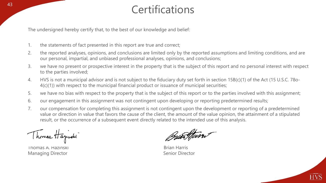# <sup>43</sup> Certifications

The undersigned hereby certify that, to the best of our knowledge and belief:

- 1. the statements of fact presented in this report are true and correct;
- 2. the reported analyses, opinions, and conclusions are limited only by the reported assumptions and limiting conditions, and are our personal, impartial, and unbiased professional analyses, opinions, and conclusions;
- 3. we have no present or prospective interest in the property that is the subject of this report and no personal interest with respect to the parties involved;
- 4. HVS is not a municipal advisor and is not subject to the fiduciary duty set forth in section 15B(c)(1) of the Act (15 U.S.C. 78o-4(c)(1)) with respect to the municipal financial product or issuance of municipal securities;
- 5. we have no bias with respect to the property that is the subject of this report or to the parties involved with this assignment;
- 6. our engagement in this assignment was not contingent upon developing or reporting predetermined results;
- 7. our compensation for completing this assignment is not contingent upon the development or reporting of a predetermined value or direction in value that favors the cause of the client, the amount of the value opinion, the attainment of a stipulated result, or the occurrence of a subsequent event directly related to the intended use of this analysis.

Thomas Hayworks

Thomas A. Hazinski Brian Harris Managing Director **Senior Director** Senior Director

Bran Stein